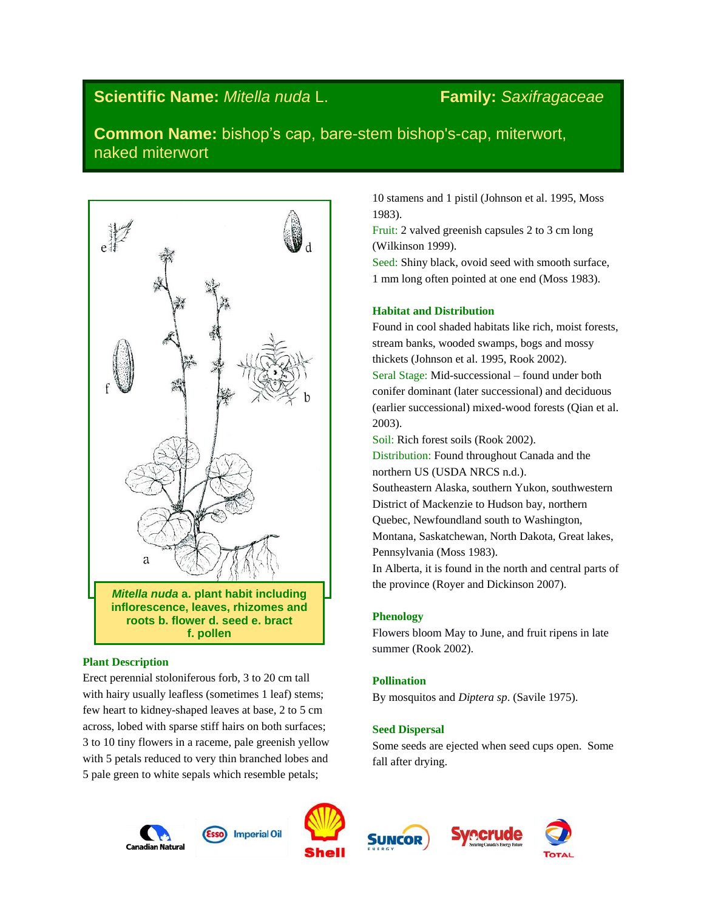# **Scientific Name:** *Mitella nuda* L. **Family:** *Saxifragaceae*

**Common Name:** bishop's cap, bare-stem bishop's-cap, miterwort, naked miterwort



### **Plant Description**

Erect perennial stoloniferous forb, 3 to 20 cm tall with hairy usually leafless (sometimes 1 leaf) stems; few heart to kidney-shaped leaves at base, 2 to 5 cm across, lobed with sparse stiff hairs on both surfaces; 3 to 10 tiny flowers in a raceme, pale greenish yellow with 5 petals reduced to very thin branched lobes and 5 pale green to white sepals which resemble petals;

10 stamens and 1 pistil (Johnson et al. 1995, Moss 1983).

Fruit: 2 valved greenish capsules 2 to 3 cm long (Wilkinson 1999).

Seed: Shiny black, ovoid seed with smooth surface, 1 mm long often pointed at one end (Moss 1983).

### **Habitat and Distribution**

Found in cool shaded habitats like rich, moist forests, stream banks, wooded swamps, bogs and mossy thickets (Johnson et al. 1995, Rook 2002). Seral Stage: Mid-successional – found under both conifer dominant (later successional) and deciduous (earlier successional) mixed-wood forests (Qian et al. 2003).

Soil: Rich forest soils (Rook 2002).

Distribution: Found throughout Canada and the northern US (USDA NRCS n.d.). Southeastern Alaska, southern Yukon, southwestern District of Mackenzie to Hudson bay, northern Quebec, Newfoundland south to Washington, Montana, Saskatchewan, North Dakota, Great lakes, Pennsylvania (Moss 1983). In Alberta, it is found in the north and central parts of

### **Phenology**

Flowers bloom May to June, and fruit ripens in late summer (Rook 2002).

### **Pollination**

By mosquitos and *Diptera sp*. (Savile 1975).

the province (Royer and Dickinson 2007).

# **Seed Dispersal**

Some seeds are ejected when seed cups open. Some fall after drying.











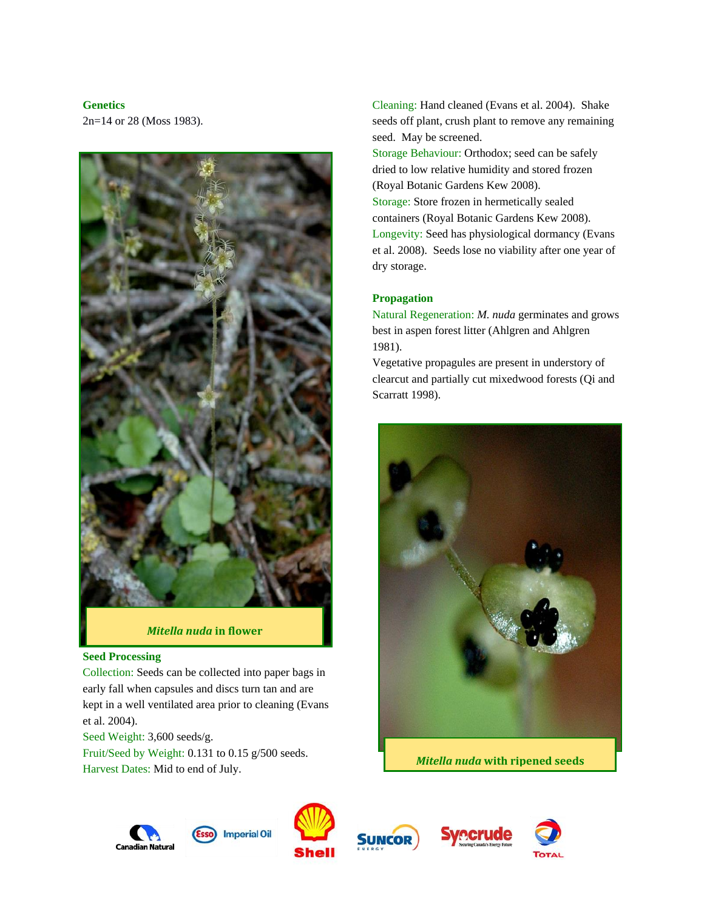# **Genetics**

2n=14 or 28 (Moss 1983).



*Mitella nuda* **in flower**

### **Seed Processing**

Collection: Seeds can be collected into paper bags in early fall when capsules and discs turn tan and are kept in a well ventilated area prior to cleaning (Evans et al. 2004).

Seed Weight: 3,600 seeds/g. Fruit/Seed by Weight: 0.131 to 0.15 g/500 seeds. Harvest Dates: Mid to end of July.

Cleaning: Hand cleaned (Evans et al. 2004). Shake seeds off plant, crush plant to remove any remaining seed. May be screened.

Storage Behaviour: Orthodox; seed can be safely dried to low relative humidity and stored frozen (Royal Botanic Gardens Kew 2008). Storage: Store frozen in hermetically sealed containers (Royal Botanic Gardens Kew 2008). Longevity: Seed has physiological dormancy (Evans et al. 2008). Seeds lose no viability after one year of dry storage.

# **Propagation**

Natural Regeneration: *M. nuda* germinates and grows best in aspen forest litter (Ahlgren and Ahlgren 1981).

Vegetative propagules are present in understory of clearcut and partially cut mixedwood forests (Qi and Scarratt 1998).











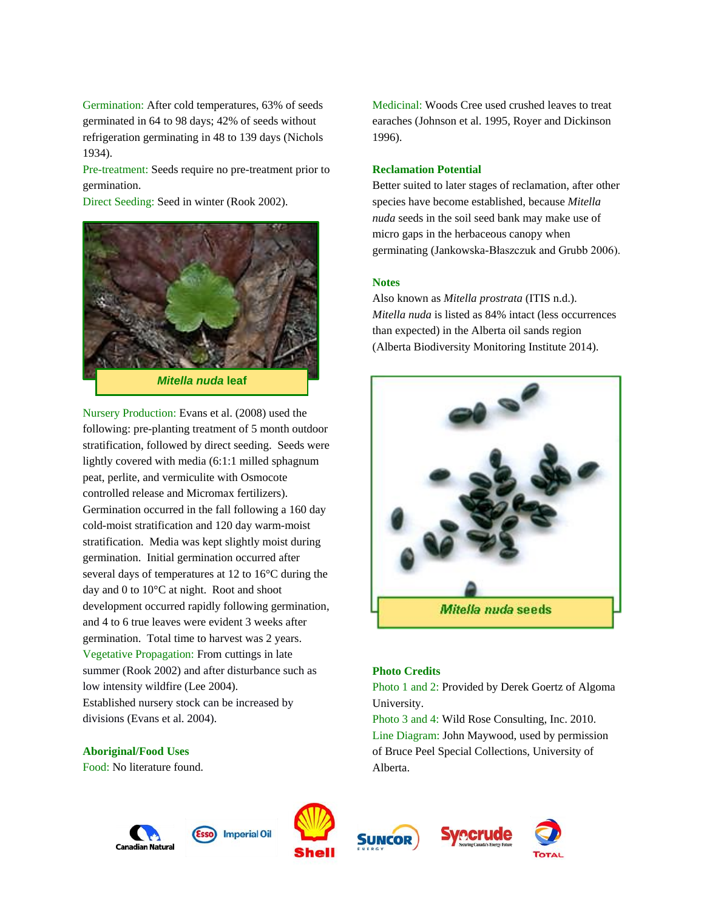Germination: After cold temperatures, 63% of seeds germinated in 64 to 98 days; 42% of seeds without refrigeration germinating in 48 to 139 days (Nichols 1934).

Pre-treatment: Seeds require no pre-treatment prior to germination.

Direct Seeding: Seed in winter (Rook 2002).



Nursery Production: Evans et al. (2008) used the following: pre-planting treatment of 5 month outdoor stratification, followed by direct seeding. Seeds were lightly covered with media (6:1:1 milled sphagnum peat, perlite, and vermiculite with Osmocote controlled release and Micromax fertilizers). Germination occurred in the fall following a 160 day cold-moist stratification and 120 day warm-moist stratification. Media was kept slightly moist during germination. Initial germination occurred after several days of temperatures at 12 to 16°C during the day and 0 to 10°C at night. Root and shoot development occurred rapidly following germination, and 4 to 6 true leaves were evident 3 weeks after germination. Total time to harvest was 2 years. Vegetative Propagation: From cuttings in late summer (Rook 2002) and after disturbance such as low intensity wildfire (Lee 2004). Established nursery stock can be increased by divisions (Evans et al. 2004).

#### **Aboriginal/Food Uses**

Food: No literature found.

Medicinal: Woods Cree used crushed leaves to treat earaches (Johnson et al. 1995, Royer and Dickinson 1996).

#### **Reclamation Potential**

Better suited to later stages of reclamation, after other species have become established, because *Mitella nuda* seeds in the soil seed bank may make use of micro gaps in the herbaceous canopy when germinating (Jankowska-Błaszczuk and Grubb 2006).

#### **Notes**

Also known as *Mitella prostrata* (ITIS n.d.). *Mitella nuda* is listed as 84% intact (less occurrences than expected) in the Alberta oil sands region (Alberta Biodiversity Monitoring Institute 2014).



### **Photo Credits**

Photo 1 and 2: Provided by Derek Goertz of Algoma University.

Photo 3 and 4: Wild Rose Consulting, Inc. 2010. Line Diagram: John Maywood, used by permission of Bruce Peel Special Collections, University of Alberta.









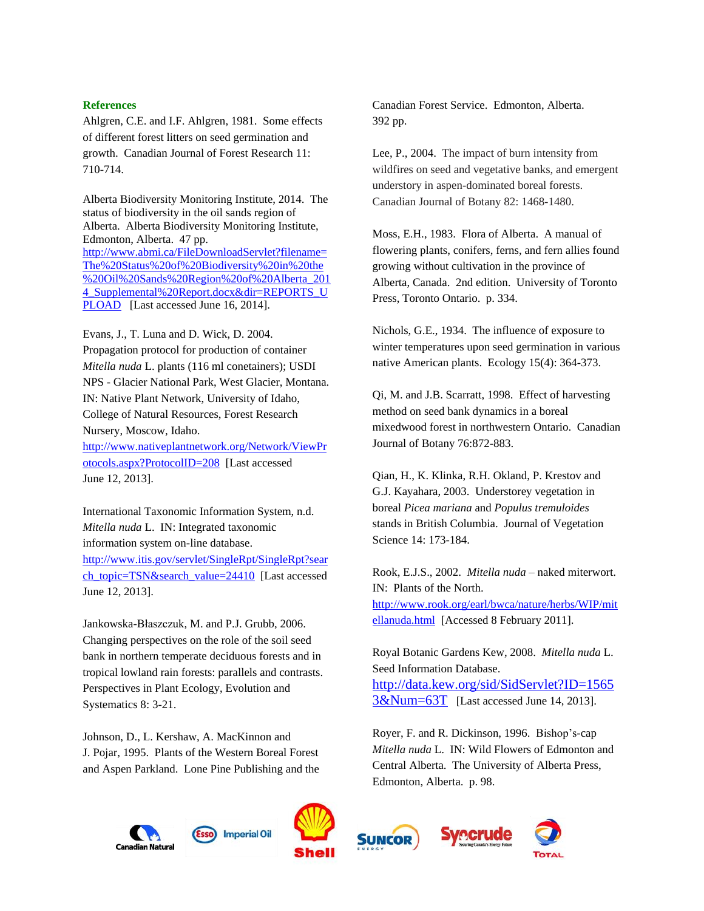### **References**

Ahlgren, C.E. and I.F. Ahlgren, 1981. Some effects of different forest litters on seed germination and growth. Canadian Journal of Forest Research 11: 710-714.

Alberta Biodiversity Monitoring Institute, 2014. The status of biodiversity in the oil sands region of Alberta. Alberta Biodiversity Monitoring Institute, Edmonton, Alberta. 47 pp. [http://www.abmi.ca/FileDownloadServlet?filename=](http://www.abmi.ca/FileDownloadServlet?filename=The%20Status%20of%20Biodiversity%20in%20the%20Oil%20Sands%20Region%20of%20Alberta_2014_Supplemental%20Report.docx&dir=REPORTS_UPLOAD) [The%20Status%20of%20Biodiversity%20in%20the](http://www.abmi.ca/FileDownloadServlet?filename=The%20Status%20of%20Biodiversity%20in%20the%20Oil%20Sands%20Region%20of%20Alberta_2014_Supplemental%20Report.docx&dir=REPORTS_UPLOAD) [%20Oil%20Sands%20Region%20of%20Alberta\\_201](http://www.abmi.ca/FileDownloadServlet?filename=The%20Status%20of%20Biodiversity%20in%20the%20Oil%20Sands%20Region%20of%20Alberta_2014_Supplemental%20Report.docx&dir=REPORTS_UPLOAD) 4 Supplemental%20Report.docx&dir=REPORTS\_U [PLOAD](http://www.abmi.ca/FileDownloadServlet?filename=The%20Status%20of%20Biodiversity%20in%20the%20Oil%20Sands%20Region%20of%20Alberta_2014_Supplemental%20Report.docx&dir=REPORTS_UPLOAD) [Last accessed June 16, 2014].

Evans, J., T. Luna and D. Wick, D. 2004. Propagation protocol for production of container *Mitella nuda* L. plants (116 ml conetainers); USDI NPS - Glacier National Park, West Glacier, Montana. IN: Native Plant Network, University of Idaho, College of Natural Resources, Forest Research Nursery, Moscow, Idaho.

[http://www.nativeplantnetwork.org/Network/ViewPr](http://www.nativeplantnetwork.org/Network/ViewProtocols.aspx?ProtocolID=208) [otocols.aspx?ProtocolID=208](http://www.nativeplantnetwork.org/Network/ViewProtocols.aspx?ProtocolID=208) [Last accessed June 12, 2013].

International Taxonomic Information System, n.d. *Mitella nuda* L. IN: Integrated taxonomic information system on-line database.

[http://www.itis.gov/servlet/SingleRpt/SingleRpt?sear](http://www.itis.gov/servlet/SingleRpt/SingleRpt?search_topic=TSN&search_value=24410) [ch\\_topic=TSN&search\\_value=24410](http://www.itis.gov/servlet/SingleRpt/SingleRpt?search_topic=TSN&search_value=24410) [Last accessed June 12, 2013].

Jankowska-Błaszczuk, M. and P.J. Grubb, 2006. Changing perspectives on the role of the soil seed bank in northern temperate deciduous forests and in tropical lowland rain forests: parallels and contrasts. Perspectives in Plant Ecology, Evolution and Systematics 8: 3-21.

Johnson, D., L. Kershaw, A. MacKinnon and J. Pojar, 1995. Plants of the Western Boreal Forest and Aspen Parkland. Lone Pine Publishing and the Canadian Forest Service. Edmonton, Alberta. 392 pp.

Lee, P., 2004. The impact of burn intensity from wildfires on seed and vegetative banks, and emergent understory in aspen-dominated boreal forests. Canadian Journal of Botany 82: 1468-1480.

Moss, E.H., 1983. Flora of Alberta. A manual of flowering plants, conifers, ferns, and fern allies found growing without cultivation in the province of Alberta, Canada. 2nd edition. University of Toronto Press, Toronto Ontario. p. 334.

Nichols, G.E., 1934. The influence of exposure to winter temperatures upon seed germination in various native American plants. Ecology 15(4): 364-373.

Qi, M. and J.B. Scarratt, 1998. Effect of harvesting method on seed bank dynamics in a boreal mixedwood forest in northwestern Ontario. Canadian Journal of Botany 76:872-883.

Qian, H., K. Klinka, R.H. Okland, P. Krestov and G.J. Kayahara, 2003. Understorey vegetation in boreal *Picea mariana* and *Populus tremuloides*  stands in British Columbia. Journal of Vegetation Science 14: 173-184.

Rook, E.J.S., 2002. *Mitella nuda* – naked miterwort. IN: Plants of the North. [http://www.rook.org/earl/bwca/nature/herbs/WIP/mit](http://www.rook.org/earl/bwca/nature/herbs/WIP/mitellanuda.html)

[ellanuda.html](http://www.rook.org/earl/bwca/nature/herbs/WIP/mitellanuda.html) [Accessed 8 February 2011].

Royal Botanic Gardens Kew, 2008. *Mitella nuda* L. Seed Information Database. [http://data.kew.org/sid/SidServlet?ID=1565](http://data.kew.org/sid/SidServlet?ID=15653&Num=63T) [3&Num=63T](http://data.kew.org/sid/SidServlet?ID=15653&Num=63T) [Last accessed June 14, 2013].

Royer, F. and R. Dickinson, 1996. Bishop's-cap *Mitella nuda* L. IN: Wild Flowers of Edmonton and Central Alberta. The University of Alberta Press, Edmonton, Alberta. p. 98.